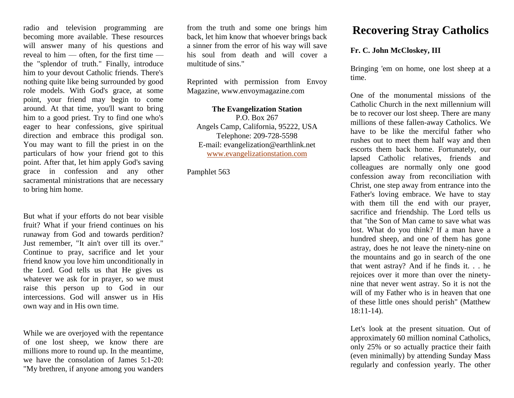radio and television programming are becoming more available. These resources will answer many of his questions and reveal to him — often, for the first time the "splendor of truth." Finally, introduce him to your devout Catholic friends. There's nothing quite like being surrounded by good role models. With God's grace, at some point, your friend may begin to come around. At that time, you'll want to bring him to a good priest. Try to find one who's eager to hear confessions, give spiritual direction and embrace this prodigal son. You may want to fill the priest in on the particulars of how your friend got to this point. After that, let him apply God's saving grace in confession and any other sacramental ministrations that are necessary to bring him home.

But what if your efforts do not bear visible fruit? What if your friend continues on his runaway from God and towards perdition? Just remember, "It ain't over till its over." Continue to pray, sacrifice and let your friend know you love him unconditionally in the Lord. God tells us that He gives us whatever we ask for in prayer, so we must raise this person up to God in our intercessions. God will answer us in His own way and in His own time.

While we are overjoyed with the repentance of one lost sheep, we know there are millions more to round up. In the meantime, we have the consolation of James 5:1-20: "My brethren, if anyone among you wanders from the truth and some one brings him back, let him know that whoever brings back a sinner from the error of his way will save his soul from death and will cover a multitude of sins."

Reprinted with permission from Envoy Magazine, www.envoymagazine.com

## **The Evangelization Station**

P.O. Box 267 Angels Camp, California, 95222, USA Telephone: 209-728-5598 E-mail: evangelization@earthlink.net [www.evangelizationstation.com](http://www.pjpiisoe.org/)

Pamphlet 563

## **Recovering Stray Catholics**

## **Fr. C. John McCloskey, III**

Bringing 'em on home, one lost sheep at a time.

One of the monumental missions of the Catholic Church in the next millennium will be to recover our lost sheep. There are many millions of these fallen-away Catholics. We have to be like the merciful father who rushes out to meet them half way and then escorts them back home. Fortunately, our lapsed Catholic relatives, friends and colleagues are normally only one good confession away from reconciliation with Christ, one step away from entrance into the Father's loving embrace. We have to stay with them till the end with our prayer, sacrifice and friendship. The Lord tells us that "the Son of Man came to save what was lost. What do you think? If a man have a hundred sheep, and one of them has gone astray, does he not leave the ninety-nine on the mountains and go in search of the one that went astray? And if he finds it. . . he rejoices over it more than over the ninetynine that never went astray. So it is not the will of my Father who is in heaven that one of these little ones should perish" (Matthew 18:11-14).

Let's look at the present situation. Out of approximately 60 million nominal Catholics, only 25% or so actually practice their faith (even minimally) by attending Sunday Mass regularly and confession yearly. The other